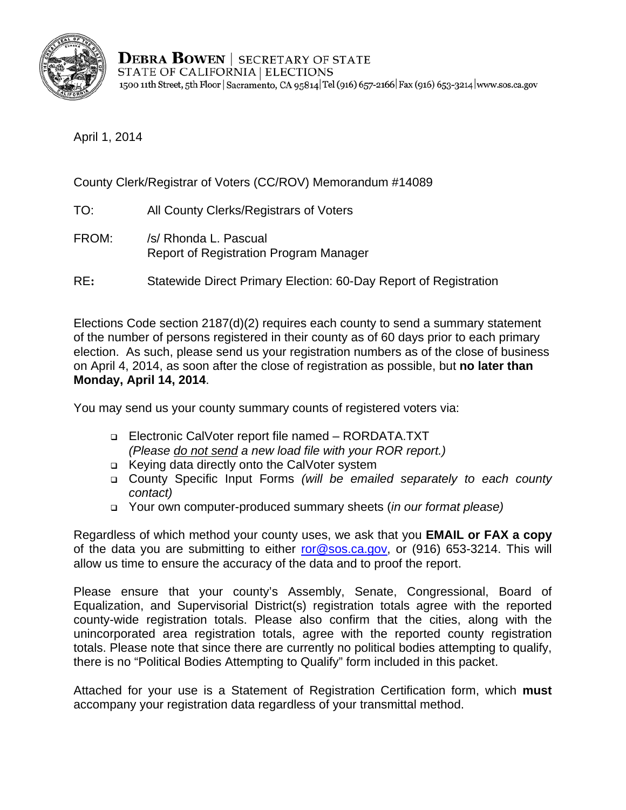

April 1, 2014

County Clerk/Registrar of Voters (CC/ROV) Memorandum #14089

- TO: All County Clerks/Registrars of Voters
- FROM: /s/ Rhonda L. Pascual Report of Registration Program Manager
- RE**:** Statewide Direct Primary Election: 60-Day Report of Registration

Elections Code section 2187(d)(2) requires each county to send a summary statement of the number of persons registered in their county as of 60 days prior to each primary election. As such, please send us your registration numbers as of the close of business on April 4, 2014, as soon after the close of registration as possible, but **no later than Monday, April 14, 2014**.

You may send us your county summary counts of registered voters via:

- Electronic CalVoter report file named RORDATA.TXT *(Please do not send a new load file with your ROR report.)*
- Keying data directly onto the CalVoter system
- County Specific Input Forms *(will be emailed separately to each county contact)*
- Your own computer-produced summary sheets (*in our format please)*

Regardless of which method your county uses, we ask that you **EMAIL or FAX a copy**  of the data you are submitting to either ror@sos.ca.gov, or (916) 653-3214. This will allow us time to ensure the accuracy of the data and to proof the report.

Please ensure that your county's Assembly, Senate, Congressional, Board of Equalization, and Supervisorial District(s) registration totals agree with the reported county-wide registration totals. Please also confirm that the cities, along with the unincorporated area registration totals, agree with the reported county registration totals. Please note that since there are currently no political bodies attempting to qualify, there is no "Political Bodies Attempting to Qualify" form included in this packet.

Attached for your use is a Statement of Registration Certification form, which **must**  accompany your registration data regardless of your transmittal method.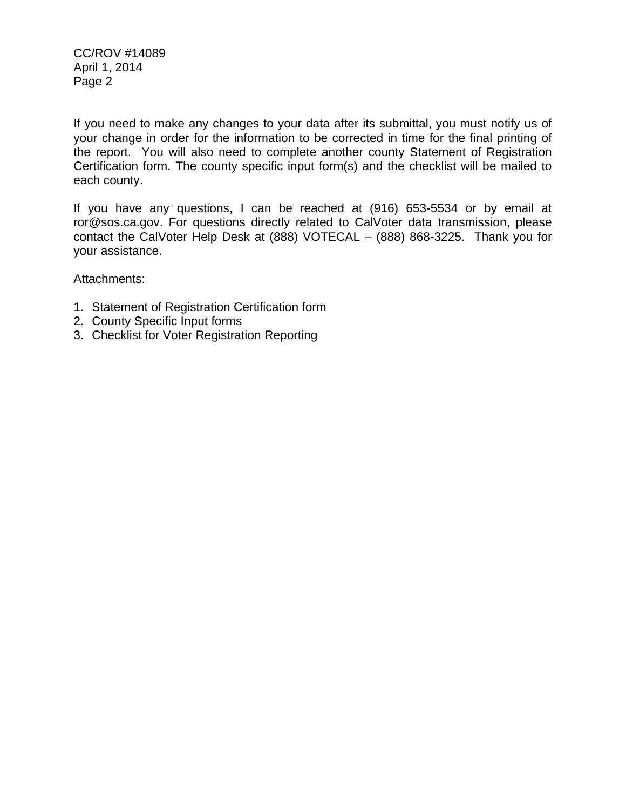CC/ROV #14089 April 1, 2014 Page 2

If you need to make any changes to your data after its submittal, you must notify us of your change in order for the information to be corrected in time for the final printing of the report. You will also need to complete another county Statement of Registration Certification form. The county specific input form(s) and the checklist will be mailed to each county.

If you have any questions, I can be reached at (916) 653-5534 or by email at ror@sos.ca.gov. For questions directly related to CalVoter data transmission, please contact the CalVoter Help Desk at (888) VOTECAL – (888) 868-3225. Thank you for your assistance.

Attachments:

- 1. Statement of Registration Certification form
- 2. County Specific Input forms
- 3. Checklist for Voter Registration Reporting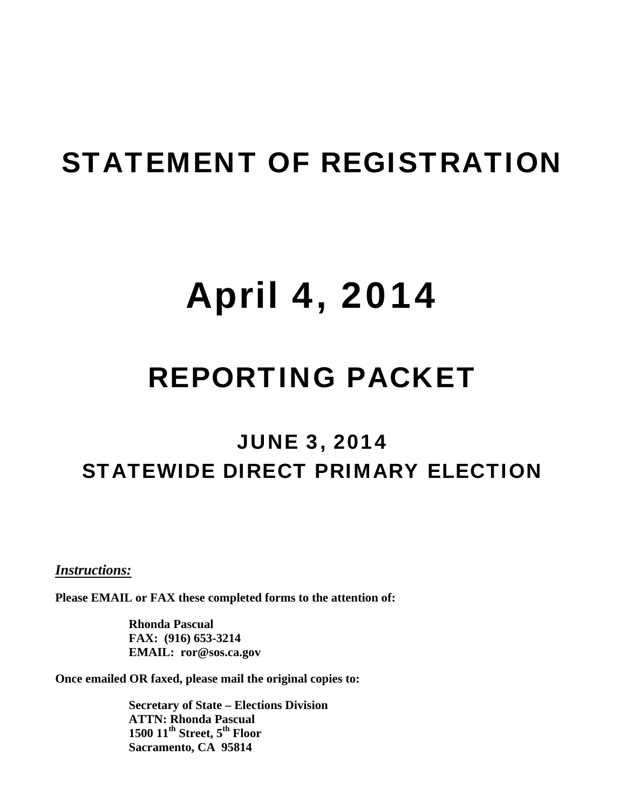## STATEMENT OF REGISTRATION

# April 4, 2014

## REPORTING PACKET

### JUNE 3, 2014 STATEWIDE DIRECT PRIMARY ELECTION

<sup>U</sup>*Instructions:* 

**Please EMAIL or FAX these completed forms to the attention of:** 

**Rhonda Pascual FAX: (916) 653-3214 EMAIL: ror@sos.ca.gov** 

**Once emailed OR faxed, please mail the original copies to:** 

**Secretary of State – Elections Division ATTN: Rhonda Pascual 1500 11<sup>th</sup> Street, 5<sup>th</sup> Floor Sacramento, CA 95814**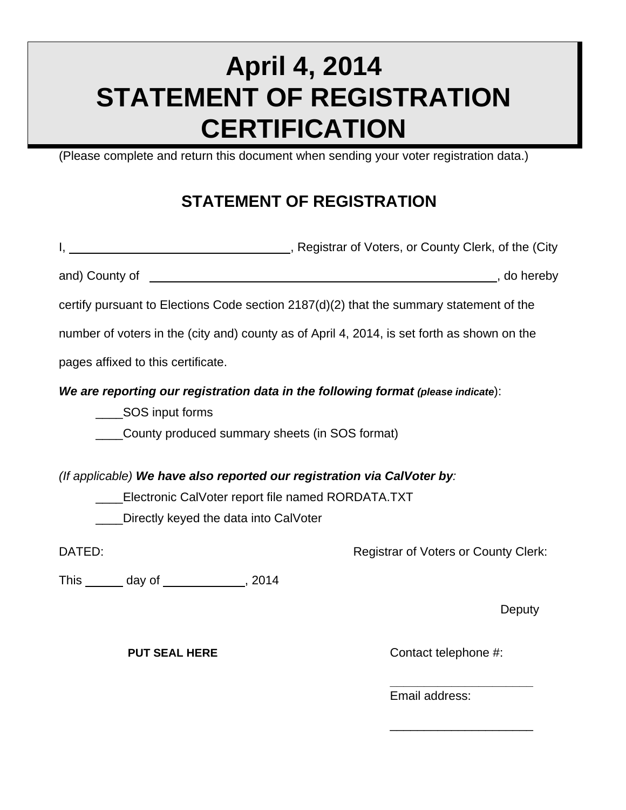### **April 4, 2014 STATEMENT OF REGISTRATION CERTIFICATION**

(Please complete and return this document when sending your voter registration data.)

#### **STATEMENT OF REGISTRATION**

|                                                                        |                                       | I, 1. All 2015, Registrar of Voters, or County Clerk, of the (City                          |
|------------------------------------------------------------------------|---------------------------------------|---------------------------------------------------------------------------------------------|
|                                                                        |                                       |                                                                                             |
|                                                                        |                                       | certify pursuant to Elections Code section $2187(d)(2)$ that the summary statement of the   |
|                                                                        |                                       | number of voters in the (city and) county as of April 4, 2014, is set forth as shown on the |
| pages affixed to this certificate.                                     |                                       |                                                                                             |
| _____SOS input forms<br>County produced summary sheets (in SOS format) |                                       | We are reporting our registration data in the following format (please indicate):           |
|                                                                        |                                       | (If applicable) We have also reported our registration via CalVoter by:                     |
| ____Electronic CalVoter report file named RORDATA.TXT                  |                                       |                                                                                             |
|                                                                        | Directly keyed the data into CalVoter |                                                                                             |
| DATED:                                                                 |                                       | <b>Registrar of Voters or County Clerk:</b>                                                 |
| This _______ day of _____________, 2014                                |                                       |                                                                                             |
|                                                                        |                                       | Deputy                                                                                      |

**PUT SEAL HERE** 

**Contact telephone #:** 

**\_\_\_\_\_\_\_\_\_\_\_\_\_\_\_\_\_\_\_\_\_** 

\_\_\_\_\_\_\_\_\_\_\_\_\_\_\_\_\_\_\_\_\_

Email address: